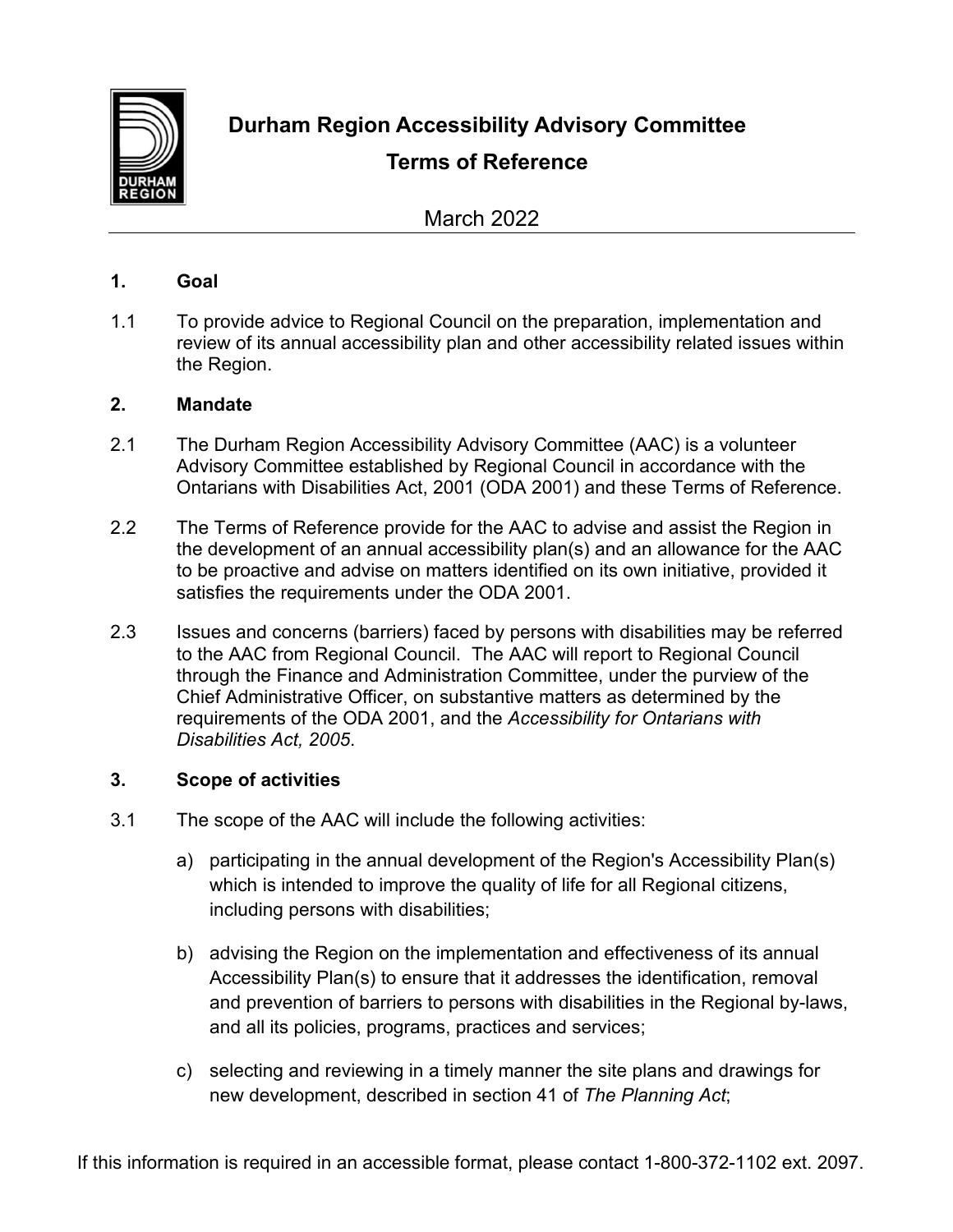

**Durham Region Accessibility Advisory Committee**

# **Terms of Reference**

March 2022

## **1. Goal**

1.1 To provide advice to Regional Council on the preparation, implementation and review of its annual accessibility plan and other accessibility related issues within the Region.

## **2. Mandate**

- 2.1 The Durham Region Accessibility Advisory Committee (AAC) is a volunteer Advisory Committee established by Regional Council in accordance with the Ontarians with Disabilities Act, 2001 (ODA 2001) and these Terms of Reference.
- 2.2 The Terms of Reference provide for the AAC to advise and assist the Region in the development of an annual accessibility plan(s) and an allowance for the AAC to be proactive and advise on matters identified on its own initiative, provided it satisfies the requirements under the ODA 2001.
- 2.3 Issues and concerns (barriers) faced by persons with disabilities may be referred to the AAC from Regional Council. The AAC will report to Regional Council through the Finance and Administration Committee, under the purview of the Chief Administrative Officer, on substantive matters as determined by the requirements of the ODA 2001, and the *Accessibility for Ontarians with Disabilities Act, 2005*.

# **3. Scope of activities**

- 3.1 The scope of the AAC will include the following activities:
	- a) participating in the annual development of the Region's Accessibility Plan(s) which is intended to improve the quality of life for all Regional citizens, including persons with disabilities;
	- b) advising the Region on the implementation and effectiveness of its annual Accessibility Plan(s) to ensure that it addresses the identification, removal and prevention of barriers to persons with disabilities in the Regional by-laws, and all its policies, programs, practices and services;
	- c) selecting and reviewing in a timely manner the site plans and drawings for new development, described in section 41 of *The Planning Act*;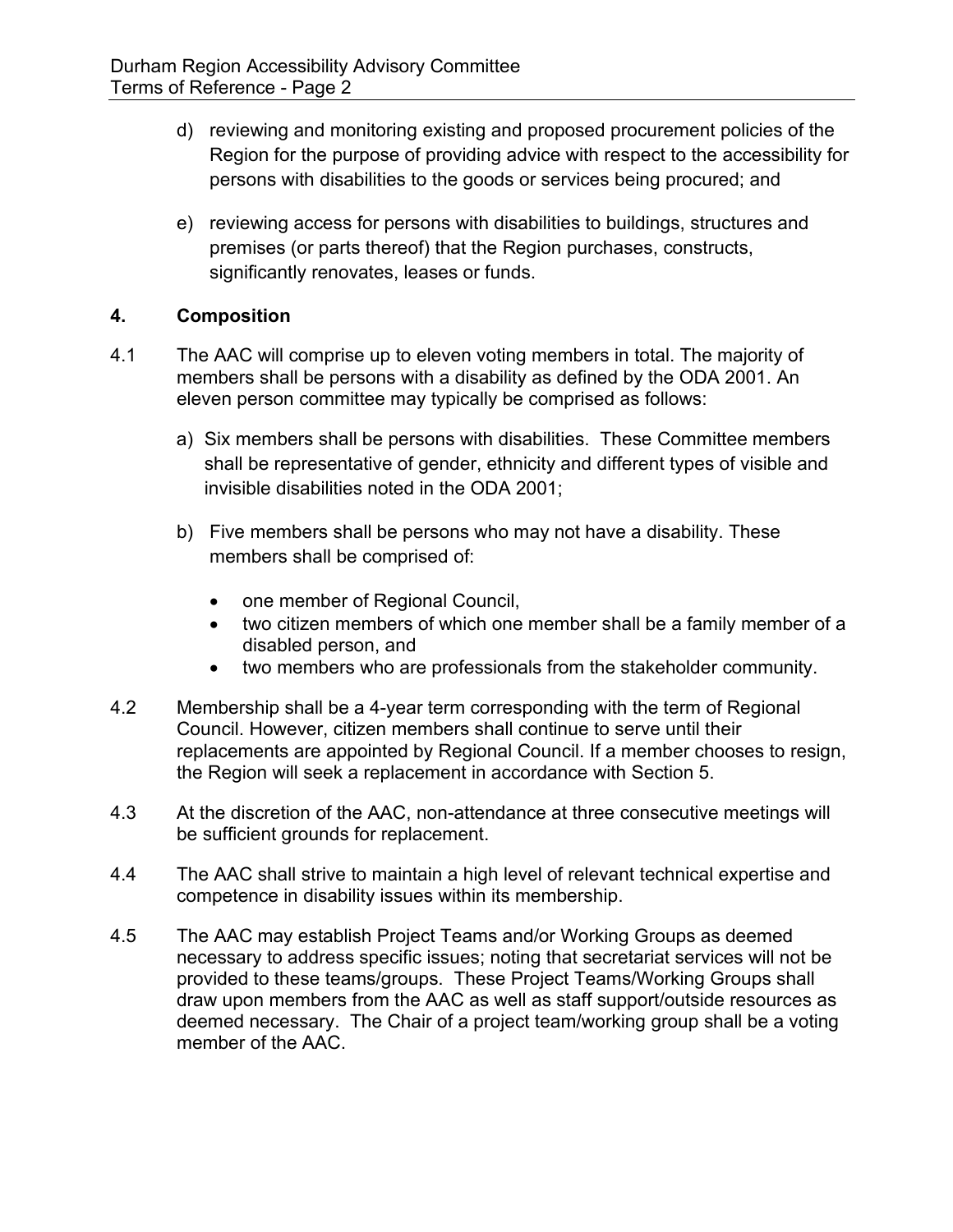- d) reviewing and monitoring existing and proposed procurement policies of the Region for the purpose of providing advice with respect to the accessibility for persons with disabilities to the goods or services being procured; and
- e) reviewing access for persons with disabilities to buildings, structures and premises (or parts thereof) that the Region purchases, constructs, significantly renovates, leases or funds.

# **4. Composition**

- 4.1 The AAC will comprise up to eleven voting members in total. The majority of members shall be persons with a disability as defined by the ODA 2001. An eleven person committee may typically be comprised as follows:
	- a) Six members shall be persons with disabilities. These Committee members shall be representative of gender, ethnicity and different types of visible and invisible disabilities noted in the ODA 2001;
	- b) Five members shall be persons who may not have a disability. These members shall be comprised of:
		- one member of Regional Council,
		- two citizen members of which one member shall be a family member of a disabled person, and
		- two members who are professionals from the stakeholder community.
- 4.2 Membership shall be a 4-year term corresponding with the term of Regional Council. However, citizen members shall continue to serve until their replacements are appointed by Regional Council. If a member chooses to resign, the Region will seek a replacement in accordance with Section 5.
- 4.3 At the discretion of the AAC, non-attendance at three consecutive meetings will be sufficient grounds for replacement.
- 4.4 The AAC shall strive to maintain a high level of relevant technical expertise and competence in disability issues within its membership.
- 4.5 The AAC may establish Project Teams and/or Working Groups as deemed necessary to address specific issues; noting that secretariat services will not be provided to these teams/groups. These Project Teams/Working Groups shall draw upon members from the AAC as well as staff support/outside resources as deemed necessary. The Chair of a project team/working group shall be a voting member of the AAC.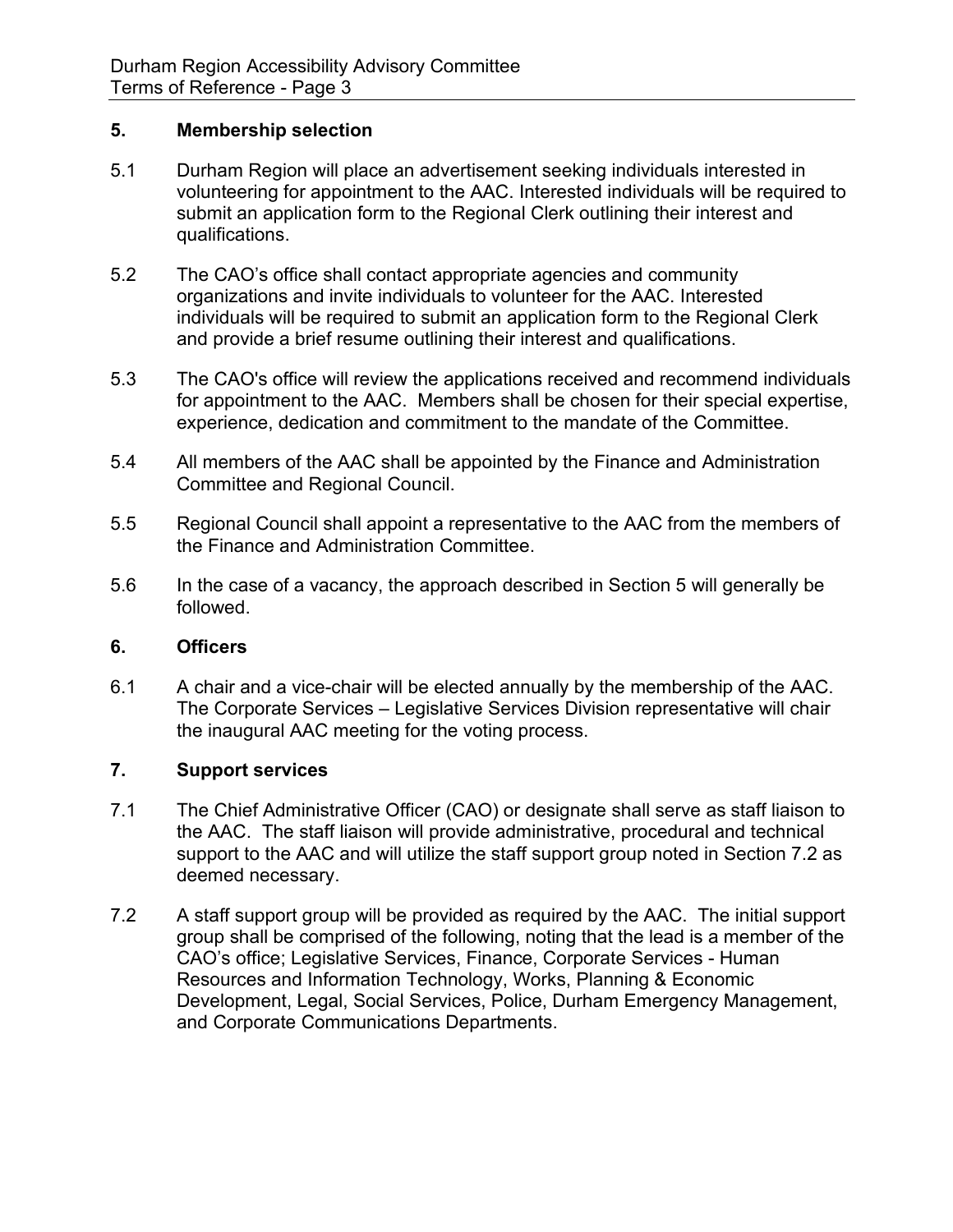### **5. Membership selection**

- 5.1 Durham Region will place an advertisement seeking individuals interested in volunteering for appointment to the AAC. Interested individuals will be required to submit an application form to the Regional Clerk outlining their interest and qualifications.
- 5.2 The CAO's office shall contact appropriate agencies and community organizations and invite individuals to volunteer for the AAC. Interested individuals will be required to submit an application form to the Regional Clerk and provide a brief resume outlining their interest and qualifications.
- 5.3 The CAO's office will review the applications received and recommend individuals for appointment to the AAC. Members shall be chosen for their special expertise, experience, dedication and commitment to the mandate of the Committee.
- 5.4 All members of the AAC shall be appointed by the Finance and Administration Committee and Regional Council.
- 5.5 Regional Council shall appoint a representative to the AAC from the members of the Finance and Administration Committee.
- 5.6 In the case of a vacancy, the approach described in Section 5 will generally be followed.

#### **6. Officers**

6.1 A chair and a vice-chair will be elected annually by the membership of the AAC. The Corporate Services – Legislative Services Division representative will chair the inaugural AAC meeting for the voting process.

# **7. Support services**

- 7.1 The Chief Administrative Officer (CAO) or designate shall serve as staff liaison to the AAC. The staff liaison will provide administrative, procedural and technical support to the AAC and will utilize the staff support group noted in Section 7.2 as deemed necessary.
- 7.2 A staff support group will be provided as required by the AAC. The initial support group shall be comprised of the following, noting that the lead is a member of the CAO's office; Legislative Services, Finance, Corporate Services - Human Resources and Information Technology, Works, Planning & Economic Development, Legal, Social Services, Police, Durham Emergency Management, and Corporate Communications Departments.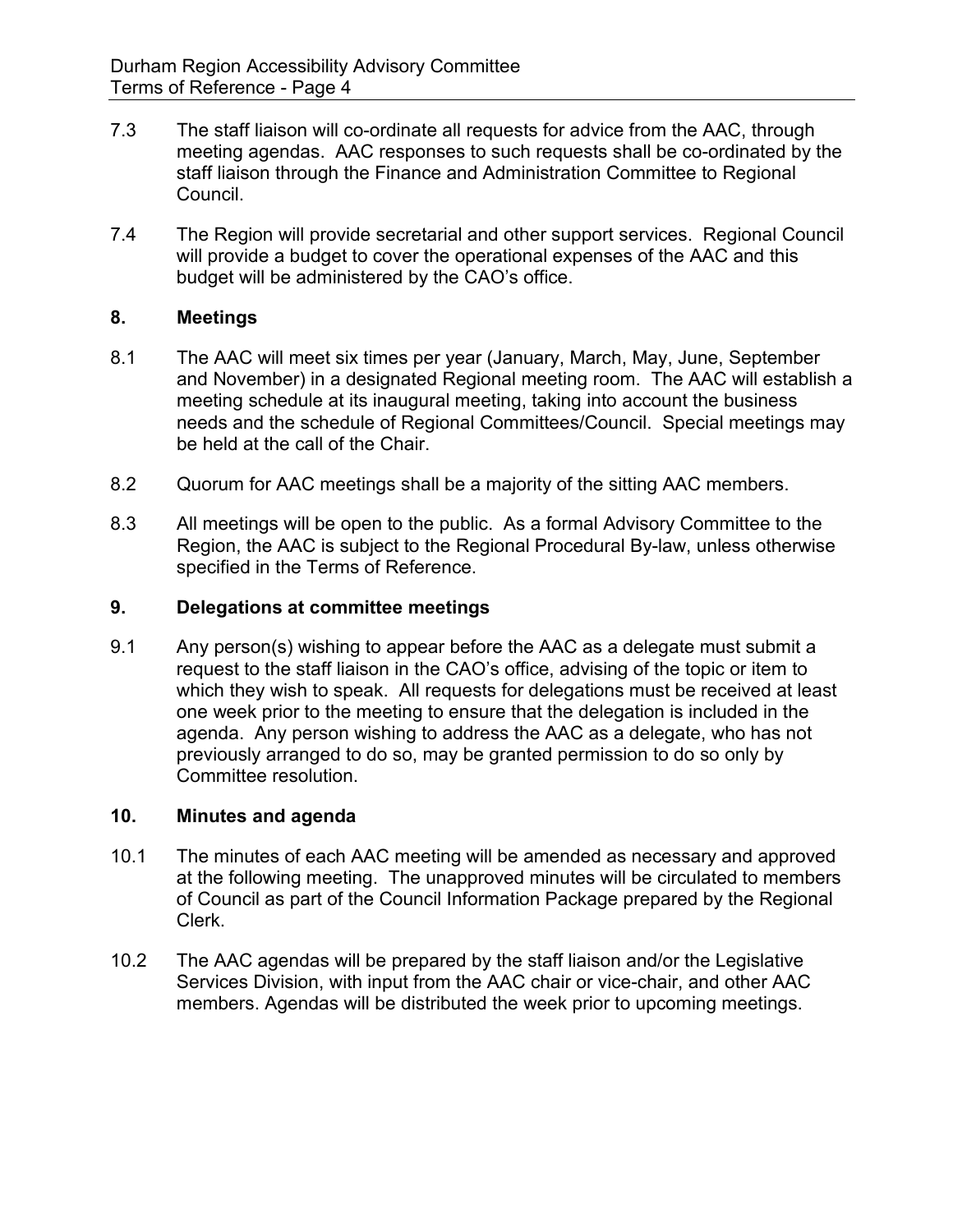- 7.3 The staff liaison will co-ordinate all requests for advice from the AAC, through meeting agendas. AAC responses to such requests shall be co-ordinated by the staff liaison through the Finance and Administration Committee to Regional Council.
- 7.4 The Region will provide secretarial and other support services. Regional Council will provide a budget to cover the operational expenses of the AAC and this budget will be administered by the CAO's office.

## **8. Meetings**

- 8.1 The AAC will meet six times per year (January, March, May, June, September and November) in a designated Regional meeting room. The AAC will establish a meeting schedule at its inaugural meeting, taking into account the business needs and the schedule of Regional Committees/Council. Special meetings may be held at the call of the Chair.
- 8.2 Quorum for AAC meetings shall be a majority of the sitting AAC members.
- 8.3 All meetings will be open to the public. As a formal Advisory Committee to the Region, the AAC is subject to the Regional Procedural By-law, unless otherwise specified in the Terms of Reference.

### **9. Delegations at committee meetings**

9.1 Any person(s) wishing to appear before the AAC as a delegate must submit a request to the staff liaison in the CAO's office, advising of the topic or item to which they wish to speak. All requests for delegations must be received at least one week prior to the meeting to ensure that the delegation is included in the agenda. Any person wishing to address the AAC as a delegate, who has not previously arranged to do so, may be granted permission to do so only by Committee resolution.

#### **10. Minutes and agenda**

- 10.1 The minutes of each AAC meeting will be amended as necessary and approved at the following meeting. The unapproved minutes will be circulated to members of Council as part of the Council Information Package prepared by the Regional Clerk.
- 10.2 The AAC agendas will be prepared by the staff liaison and/or the Legislative Services Division, with input from the AAC chair or vice-chair, and other AAC members. Agendas will be distributed the week prior to upcoming meetings.